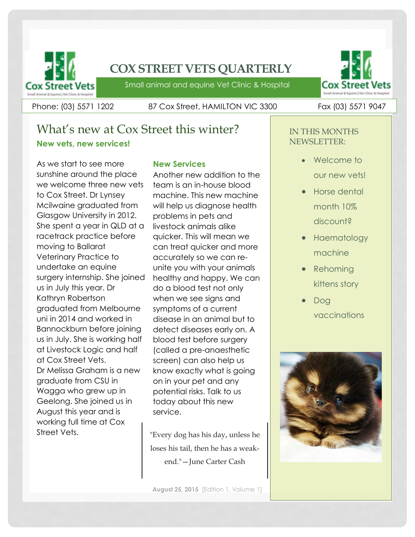

## **COX STREET VETS QUARTERLY**

Small animal and equine Vet Clinic & Hospital

Phone: (03) 5571 1202 87 Cox Street, HAMILTON VIC 3300 Fax (03) 5571 9047

## What's new at Cox Street this winter? **New vets, new services!**

As we start to see more sunshine around the place we welcome three new vets to Cox Street. Dr Lynsey Mcilwaine graduated from Glasgow University in 2012. She spent a year in QLD at a racetrack practice before moving to Ballarat Veterinary Practice to undertake an equine surgery internship. She joined us in July this year. Dr Kathryn Robertson graduated from Melbourne uni in 2014 and worked in Bannockburn before joining us in July. She is working half at Livestock Logic and half at Cox Street Vets. Dr Melissa Graham is a new graduate from CSU in Wagga who grew up in Geelong. She joined us in August this year and is working full time at Cox Street Vets.

### **New Services**

Another new addition to the team is an in-house blood machine. This new machine will help us diagnose health problems in pets and livestock animals alike quicker. This will mean we can treat quicker and more accurately so we can reunite you with your animals healthy and happy. We can do a blood test not only when we see signs and symptoms of a current disease in an animal but to detect diseases early on. A blood test before surgery (called a pre-anaesthetic screen) can also help us know exactly what is going on in your pet and any potential risks. Talk to us today about this new service.

"Every dog has his day, unless he loses his tail, then he has a weakend."—June Carter Cash



### IN THIS MONTHS NEWSLETTER:

- Welcome to our new vets!
- **•** Horse dental month 10% discount?
- Haematology machine
- Rehoming kittens story
- Dog vaccinations